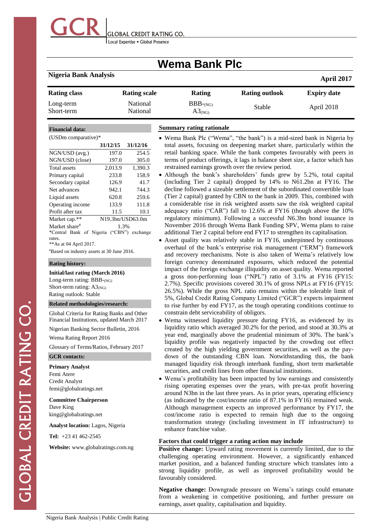

Local Expertise . Global Presence

# **Wema Bank Plc**

## **Nigeria Bank Analysis April <sup>2017</sup>**

| <b>Rating class</b>     | <b>Rating scale</b>  | Rating                        | <b>Rating outlook</b> | <b>Expiry date</b> |
|-------------------------|----------------------|-------------------------------|-----------------------|--------------------|
| Long-term<br>Short-term | National<br>National | $BBB$ - $N$ G)<br>$A3_{(NG)}$ | Stable                | April 2018         |

#### **Financial data:**

NGN/USD (avg.)

#### (USDm comparative)\*

|    |          |          | .                |
|----|----------|----------|------------------|
|    | 31/12/15 | 31/12/16 | total a          |
|    | 197.0    | 254.5    | retail 1         |
| ?) | 197.0    | 305.0    | terms            |
|    | 2.013.9  | 1.390.3  | restrai          |
|    | 2338     | 1580     | $\bullet$ Althou |

NGN/USD (close Total assets Primary capital 233.8 158.9 Secondary capital 126.9 41.7 Net advances 942.1 744.3 Liquid assets 620.8 259.6 Operating income 133.9 111.8 Profit after tax 11.5 10.1 Market cap.\*\* N19.3bn/USD63.0m Market share<sup>#</sup> 1.3%

\*Central Bank of Nigeria ("CBN") exchange rates. \*\*As at 04 April 2017.

#Based on industry assets at 30 June 2016.

#### **Rating history:**

**Initial/last rating (March 2016)** Long-term rating: BBB-(NG)

Short-term rating:  $A3_{(NG)}$ Rating outlook: Stable

#### **Related methodologies/research:**

Global Criteria for Rating Banks and Other Financial Institutions, updated March 2017 Nigerian Banking Sector Bulletin, 2016

Wema Rating Report 2016

Glossary of Terms/Ratios, February 2017

#### **GCR contacts:**

#### **Primary Analyst**

Femi Atere Credit Analyst [femi@globalratings.net](mailto:femi@globalratings.net)

**Committee Chairperson**

Dave King [king@globalratings.net](mailto:king@globalratings.net)

**Analyst location:** Lagos, Nigeria

**Tel:** +23 41 462-2545

**Website:** [www.globalratings.com.ng](http://www.globalratings.com.ng/)

#### **Summary rating rationale**

- Wema Bank Plc ("Wema", "the bank") is a mid-sized bank in Nigeria by issets, focusing on deepening market share, particularly within the banking space. While the bank competes favourably with peers in of product offerings, it lags in balance sheet size, a factor which has ned earnings growth over the review period.
- hough the bank's shareholders' funds grew by 5.2%, total capital (including Tier 2 capital) dropped by 14% to N61.2bn at FY16. The decline followed a sizeable settlement of the subordinated convertible loan (Tier 2 capital) granted by CBN to the bank in 2009. This, combined with a considerable rise in risk weighted assets saw the risk weighted capital adequacy ratio ("CAR") fall to 12.6% at FY16 (though above the 10% regulatory minimum). Following a successful N6.3bn bond issuance in November 2016 through Wema Bank Funding SPV, Wema plans to raise additional Tier 2 capital before end FY17 to strengthen its capitalisation.
- Asset quality was relatively stable in FY16, underpinned by continuous overhaul of the bank's enterprise risk management ("ERM") framework and recovery mechanisms. Note is also taken of Wema's relatively low foreign currency denominated exposures, which reduced the potential impact of the foreign exchange illiquidity on asset quality. Wema reported a gross non-performing loan ("NPL") ratio of 3.1% at FY16 (FY15: 2.7%). Specific provisions covered 30.1% of gross NPLs at FY16 (FY15: 26.5%). While the gross NPL ratio remains within the tolerable limit of 5%, Global Credit Rating Company Limited ("GCR") expects impairment to rise further by end FY17, as the tough operating conditions continue to constrain debt serviceability of obligors.
- Wema witnessed liquidity pressure during FY16, as evidenced by its liquidity ratio which averaged 30.2% for the period, and stood at 30.3% at year end, marginally above the prudential minimum of 30%. The bank's liquidity profile was negatively impacted by the crowding out effect created by the high yielding government securities, as well as the paydown of the outstanding CBN loan. Notwithstanding this, the bank managed liquidity risk through interbank funding, short term marketable securities, and credit lines from other financial institutions.
- Wema's profitability has been impacted by low earnings and consistently rising operating expenses over the years, with pre-tax profit hovering around N3bn in the last three years. As in prior years, operating efficiency (as indicated by the cost/income ratio of 87.1% in FY16) remained weak. Although management expects an improved performance by FY17, the cost/income ratio is expected to remain high due to the ongoing transformation strategy (including investment in IT infrastructure) to enhance franchise value.

#### **Factors that could trigger a rating action may include**

**Positive change:** Upward rating movement is currently limited, due to the challenging operating environment. However, a significantly enhanced market position, and a balanced funding structure which translates into a strong liquidity profile, as well as improved profitability would be favourably considered.

**Negative change:** Downgrade pressure on Wema's ratings could emanate from a weakening in competitive positioning, and further pressure on earnings, asset quality, capitalisation and liquidity.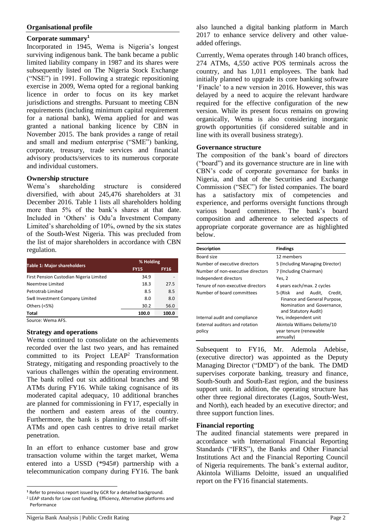#### **Organisational profile**

## **Corporate summary<sup>1</sup>**

Incorporated in 1945, Wema is Nigeria's longest surviving indigenous bank. The bank became a public limited liability company in 1987 and its shares were subsequently listed on The Nigeria Stock Exchange ("NSE") in 1991. Following a strategic repositioning exercise in 2009, Wema opted for a regional banking licence in order to focus on its key market jurisdictions and strengths. Pursuant to meeting CBN requirements (including minimum capital requirement for a national bank), Wema applied for and was granted a national banking licence by CBN in November 2015. The bank provides a range of retail and small and medium enterprise ("SME") banking, corporate, treasury, trade services and financial advisory products/services to its numerous corporate and individual customers.

#### **Ownership structure**

Wema's shareholding structure is considered diversified, with about 245,476 shareholders at 31 December 2016. Table 1 lists all shareholders holding more than 5% of the bank's shares at that date. Included in 'Others' is Odu'a Investment Company Limited's shareholding of 10%, owned by the six states of the South-West Nigeria. This was precluded from the list of major shareholders in accordance with CBN regulation.

| <b>Table 1: Major shareholders</b>      | % Holding   |             |
|-----------------------------------------|-------------|-------------|
|                                         | <b>FY15</b> | <b>FY16</b> |
| First Pension Custodian Nigeria Limited | 34.9        |             |
| Neemtree Limited                        | 18.3        | 27.5        |
| Petrotrab Limited                       | 8.5         | 8.5         |
| Sw8 Investment Company Limited          | 8.0         | 8.0         |
| Others (<5%)                            | 30.2        | 56.0        |
| <b>Total</b>                            | 100.0       | 100.0       |

Source: Wema AFS.

#### **Strategy and operations**

Wema continued to consolidate on the achievements recorded over the last two years, and has remained committed to its Project LEAP<sup>2</sup> Transformation Strategy, mitigating and responding proactively to the various challenges within the operating environment. The bank rolled out six additional branches and 98 ATMs during FY16. While taking cognisance of its moderated capital adequacy, 10 additional branches are planned for commissioning in FY17, especially in the northern and eastern areas of the country. Furthermore, the bank is planning to install off-site ATMs and open cash centres to drive retail market penetration.

In an effort to enhance customer base and grow transaction volume within the target market, Wema entered into a USSD (\*945#) partnership with a telecommunication company during FY16. The bank

<sup>2</sup> LEAP stands for Low cost funding, Efficiency, Alternative platforms and Performance

also launched a digital banking platform in March 2017 to enhance service delivery and other valueadded offerings.

Currently, Wema operates through 140 branch offices, 274 ATMs, 4,550 active POS terminals across the country, and has 1,011 employees. The bank had initially planned to upgrade its core banking software 'Finacle' to a new version in 2016. However, this was delayed by a need to acquire the relevant hardware required for the effective configuration of the new version. While its present focus remains on growing organically, Wema is also considering inorganic growth opportunities (if considered suitable and in line with its overall business strategy).

#### **Governance structure**

The composition of the bank's board of directors ("board") and its governance structure are in line with CBN's code of corporate governance for banks in Nigeria, and that of the Securities and Exchange Commission ("SEC") for listed companies. The board has a satisfactory mix of competencies and experience, and performs oversight functions through various board committees. The bank's board composition and adherence to selected aspects of appropriate corporate governance are as highlighted below.

| <b>Description</b>                       | <b>Findings</b>                                                                                                     |  |
|------------------------------------------|---------------------------------------------------------------------------------------------------------------------|--|
| Board size                               | 12 members                                                                                                          |  |
| Number of executive directors            | 5 (Including Managing Director)                                                                                     |  |
| Number of non-executive directors        | 7 (Including Chairman)                                                                                              |  |
| Independent directors                    | Yes, 2                                                                                                              |  |
| Tenure of non-executive directors        | 4 years each/max. 2 cycles                                                                                          |  |
| Number of board committees               | 5-(Risk and Audit,<br>Credit.<br>Finance and General Purpose,<br>Nomination and Governance.<br>and Statutory Audit) |  |
| Internal audit and compliance            | Yes, independent unit                                                                                               |  |
| External auditors and rotation<br>policy | Akintola Williams Deilotte/10<br>year tenure (renewable<br>annually)                                                |  |

Subsequent to FY16, Mr. Ademola Adebise, (executive director) was appointed as the Deputy Managing Director ("DMD") of the bank. The DMD supervises corporate banking, treasury and finance, South-South and South-East region, and the business support unit. In addition, the operating structure has other three regional directorates (Lagos, South-West, and North), each headed by an executive director; and three support function lines.

#### **Financial reporting**

The audited financial statements were prepared in accordance with International Financial Reporting Standards ("IFRS"), the Banks and Other Financial Institutions Act and the Financial Reporting Council of Nigeria requirements. The bank's external auditor, Akintola Williams Deloitte, issued an unqualified report on the FY16 financial statements.

l **<sup>1</sup>** Refer to previous report issued by GCR for a detailed background.

Nigeria Bank Analysis | Public Credit Rating Page 2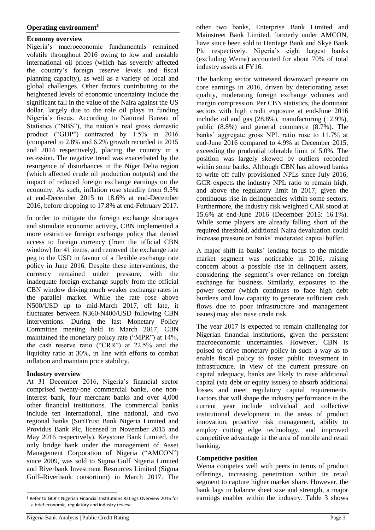### **Operating environment<sup>3</sup>**

#### **Economy overview**

Nigeria's macroeconomic fundamentals remained volatile throughout 2016 owing to low and unstable international oil prices (which has severely affected the country's foreign reserve levels and fiscal planning capacity), as well as a variety of local and global challenges. Other factors contributing to the heightened levels of economic uncertainty include the significant fall in the value of the Naira against the US dollar, largely due to the role oil plays in funding Nigeria's fiscus. According to National Bureau of Statistics ("NBS"), the nation's real gross domestic product ("GDP") contracted by 1.5% in 2016 (compared to 2.8% and 6.2% growth recorded in 2015 and 2014 respectively), placing the country in a recession. The negative trend was exacerbated by the resurgence of disturbances in the Niger Delta region (which affected crude oil production outputs) and the impact of reduced foreign exchange earnings on the economy. As such, inflation rose steadily from 9.5% at end-December 2015 to 18.6% at end-December 2016, before dropping to 17.8% at end-February 2017.

In order to mitigate the foreign exchange shortages and stimulate economic activity, CBN implemented a more restrictive foreign exchange policy that denied access to foreign currency (from the official CBN window) for 41 items, and removed the exchange rate peg to the USD in favour of a flexible exchange rate policy in June 2016. Despite these interventions, the currency remained under pressure, with the inadequate foreign exchange supply from the official CBN window driving much weaker exchange rates in the parallel market. While the rate rose above N500/USD up to mid-March 2017, off late, it fluctuates between N360-N400/USD following CBN interventions. During the last Monetary Policy Committee meeting held in March 2017, CBN maintained the monetary policy rate ("MPR") at 14%, the cash reserve ratio ("CRR") at 22.5% and the liquidity ratio at 30%, in line with efforts to combat inflation and maintain price stability.

## **Industry overview**

l

At 31 December 2016, Nigeria's financial sector comprised twenty-one commercial banks, one noninterest bank, four merchant banks and over 4,000 other financial institutions. The commercial banks include ten international, nine national, and two regional banks (SunTrust Bank Nigeria Limited and Providus Bank Plc, licensed in November 2015 and May 2016 respectively). Keystone Bank Limited, the only bridge bank under the management of Asset Management Corporation of Nigeria ("AMCON") since 2009, was sold to Sigma Golf Nigeria Limited and Riverbank Investment Resources Limited (Sigma Golf–Riverbank consortium) in March 2017. The other two banks, Enterprise Bank Limited and Mainstreet Bank Limited, formerly under AMCON, have since been sold to Heritage Bank and Skye Bank Plc respectively. Nigeria's eight largest banks (excluding Wema) accounted for about 70% of total industry assets at FY16.

The banking sector witnessed downward pressure on core earnings in 2016, driven by deteriorating asset quality, moderating foreign exchange volumes and margin compression. Per CBN statistics, the dominant sectors with high credit exposure at end-June 2016 include: oil and gas (28.8%), manufacturing (12.9%), public (8.8%) and general commerce (8.7%). The banks' aggregate gross NPL ratio rose to 11.7% at end-June 2016 compared to 4.9% at December 2015, exceeding the prudential tolerable limit of 5.0%. The position was largely skewed by outliers recorded within some banks. Although CBN has allowed banks to write off fully provisioned NPLs since July 2016, GCR expects the industry NPL ratio to remain high, and above the regulatory limit in 2017, given the continuous rise in delinquencies within some sectors. Furthermore, the industry risk weighted CAR stood at 15.6% at end-June 2016 (December 2015: 16.1%). While some players are already falling short of the required threshold, additional Naira devaluation could increase pressure on banks' moderated capital buffer.

A major shift in banks' lending focus to the middle market segment was noticeable in 2016, raising concern about a possible rise in delinquent assets, considering the segment's over-reliance on foreign exchange for business. Similarly, exposures to the power sector (which continues to face high debt burdens and low capacity to generate sufficient cash flows due to poor infrastructure and management issues) may also raise credit risk.

The year 2017 is expected to remain challenging for Nigerian financial institutions, given the persistent macroeconomic uncertainties. However, CBN is poised to drive monetary policy in such a way as to enable fiscal policy to foster public investment in infrastructure. In view of the current pressure on capital adequacy, banks are likely to raise additional capital (via debt or equity issues) to absorb additional losses and meet regulatory capital requirements. Factors that will shape the industry performance in the current year include individual and collective institutional development in the areas of product innovation, proactive risk management, ability to employ cutting edge technology, and improved competitive advantage in the area of mobile and retail banking.

#### **Competitive position**

Wema competes well with peers in terms of product offerings, increasing penetration within its retail segment to capture higher market share. However, the bank lags in balance sheet size and strength, a major earnings enabler within the industry. Table 3 shows

**<sup>3</sup>** Refer to GCR's Nigerian Financial Institutions Ratings Overview 2016 for a brief economic, regulatory and industry review.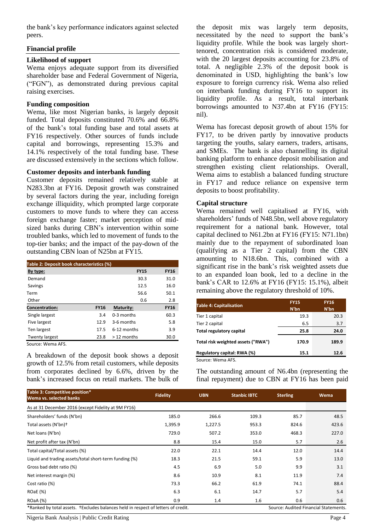the bank's key performance indicators against selected peers.

#### **Financial profile**

### **Likelihood of support**

Wema enjoys adequate support from its diversified shareholder base and Federal Government of Nigeria, ("FGN"), as demonstrated during previous capital raising exercises.

#### **Funding composition**

Wema, like most Nigerian banks, is largely deposit funded. Total deposits constituted 70.6% and 66.8% of the bank's total funding base and total assets at FY16 respectively. Other sources of funds include capital and borrowings, representing 15.3% and 14.1% respectively of the total funding base. These are discussed extensively in the sections which follow.

## **Customer deposits and interbank funding**

Customer deposits remained relatively stable at N283.3bn at FY16. Deposit growth was constrained by several factors during the year, including foreign exchange illiquidity, which prompted large corporate customers to move funds to where they can access foreign exchange faster; market perception of midsized banks during CBN's intervention within some troubled banks, which led to movement of funds to the top-tier banks; and the impact of the pay-down of the outstanding CBN loan of N25bn at FY15.

| Table 2: Deposit book characteristics (%) |             |               |             |  |  |
|-------------------------------------------|-------------|---------------|-------------|--|--|
| By type:                                  |             | <b>FY15</b>   | <b>FY16</b> |  |  |
| Demand                                    |             | 30.3          | 31.0        |  |  |
| Savings                                   |             | 12.5          | 16.0        |  |  |
| Term                                      |             | 56.6          | 50.1        |  |  |
| Other                                     |             | 0.6           | 2.8         |  |  |
| <b>Concentration:</b>                     | <b>FY16</b> | Maturity:     | <b>FY16</b> |  |  |
| Single largest                            | 3.4         | 0-3 months    | 60.3        |  |  |
| Five largest                              | 12.9        | 3-6 months    | 5.8         |  |  |
| Ten largest                               | 17.5        | $6-12$ months | 3.9         |  |  |
| <b>Twenty largest</b>                     | 23.8        | $>12$ months  | 30.0        |  |  |

Source: Wema AFS.

A breakdown of the deposit book shows a deposit growth of 12.5% from retail customers, while deposits from corporates declined by 6.6%, driven by the bank's increased focus on retail markets. The bulk of

the deposit mix was largely term deposits, necessitated by the need to support the bank's liquidity profile. While the book was largely shorttenored, concentration risk is considered moderate, with the 20 largest deposits accounting for 23.8% of total. A negligible 2.3% of the deposit book is denominated in USD, highlighting the bank's low exposure to foreign currency risk. Wema also relied on interbank funding during FY16 to support its liquidity profile. As a result, total interbank borrowings amounted to N37.4bn at FY16 (FY15: nil).

Wema has forecast deposit growth of about 15% for FY17, to be driven partly by innovative products targeting the youths, salary earners, traders, artisans, and SMEs. The bank is also channelling its digital banking platform to enhance deposit mobilisation and strengthen existing client relationships. Overall, Wema aims to establish a balanced funding structure in FY17 and reduce reliance on expensive term deposits to boost profitability.

#### **Capital structure**

Wema remained well capitalised at FY16, with shareholders' funds of N48.5bn, well above regulatory requirement for a national bank. However, total capital declined to N61.2bn at FY16 (FY15: N71.1bn) mainly due to the repayment of subordinated loan (qualifying as a Tier 2 capital) from the CBN amounting to N18.6bn. This, combined with a significant rise in the bank's risk weighted assets due to an expanded loan book, led to a decline in the bank's CAR to 12.6% at FY16 (FY15: 15.1%), albeit remaining above the regulatory threshold of 10%.

| <b>Table 4: Capitalisation</b>     | <b>FY15</b><br>N'bn | <b>FY16</b><br>N'bn |
|------------------------------------|---------------------|---------------------|
| Tier 1 capital                     | 19.3                | 20.3                |
| Tier 2 capital                     | 6.5                 | 3.7                 |
| Total regulatory capital           | 25.8                | 24.0                |
| Total risk weighted assets ("RWA") | 170.9               | 189.9               |
| Regulatory capital: RWA (%)        | 15.1                | 12.6                |
| Source: Wema AFS.                  |                     |                     |

The outstanding amount of N6.4bn (representing the final repayment) due to CBN at FY16 has been paid

| Table 3: Competitive position*<br>Wema vs. selected banks                                                                  | <b>Fidelity</b> | <b>UBN</b> | <b>Stanbic IBTC</b> | <b>Sterling</b> | Wema  |
|----------------------------------------------------------------------------------------------------------------------------|-----------------|------------|---------------------|-----------------|-------|
| As at 31 December 2016 (except Fidelity at 9M FY16)                                                                        |                 |            |                     |                 |       |
| Shareholders' funds (N'bn)                                                                                                 | 185.0           | 266.6      | 109.3               | 85.7            | 48.5  |
| Total assets (N'bn)+                                                                                                       | 1,395.9         | 1,227.5    | 953.3               | 824.6           | 423.6 |
| Net loans (N'bn)                                                                                                           | 729.0           | 507.2      | 353.0               | 468.3           | 227.0 |
| Net profit after tax (N'bn)                                                                                                | 8.8             | 15.4       | 15.0                | 5.7             | 2.6   |
| Total capital/Total assets (%)                                                                                             | 22.0            | 22.1       | 14.4                | 12.0            | 14.4  |
| Liquid and trading assets/total short-term funding (%)                                                                     | 18.3            | 21.5       | 59.1                | 5.9             | 13.0  |
| Gross bad debt ratio (%)                                                                                                   | 4.5             | 6.9        | 5.0                 | 9.9             | 3.1   |
| Net interest margin (%)                                                                                                    | 8.6             | 10.9       | 8.1                 | 11.9            | 7.4   |
| Cost ratio (%)                                                                                                             | 73.3            | 66.2       | 61.9                | 74.1            | 88.4  |
| <b>ROaE</b> (%)                                                                                                            | 6.3             | 6.1        | 14.7                | 5.7             | 5.4   |
| ROaA (%)                                                                                                                   | 0.9             | 1.4        | 1.6                 | 0.6             | 0.6   |
| *Ranked by total assets. †Excludes balances held in respect of letters of credit.<br>Source: Audited Financial Statements. |                 |            |                     |                 |       |

Nigeria Bank Analysis | Public Credit Rating Page 4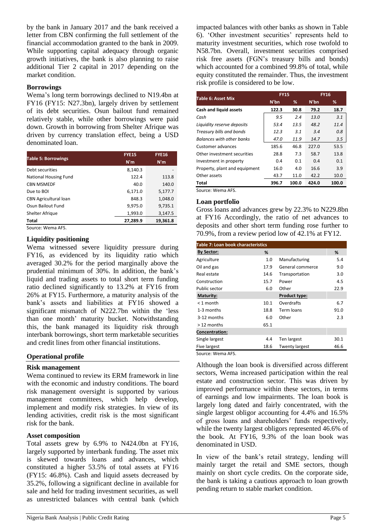by the bank in January 2017 and the bank received a letter from CBN confirming the full settlement of the financial accommodation granted to the bank in 2009. While supporting capital adequacy through organic growth initiatives, the bank is also planning to raise additional Tier 2 capital in 2017 depending on the market condition.

#### **Borrowings**

Wema's long term borrowings declined to N19.4bn at FY16 (FY15: N27.3bn), largely driven by settlement of its debt securities. Osun bailout fund remained relatively stable, while other borrowings were paid down. Growth in borrowing from Shelter Afrique was driven by currency translation effect, being a USD denominated loan.

| <b>Table 5: Borrowings</b>   | <b>FYE15</b> | <b>FYE16</b> |  |
|------------------------------|--------------|--------------|--|
|                              | N'm          | N'm          |  |
| Debt securities              | 8,140.3      |              |  |
| <b>National Housing Fund</b> | 122.4        | 113.8        |  |
| <b>CBN MSMEDF</b>            | 40.0         | 140.0        |  |
| Due to BOI                   | 6.171.0      | 5.177.7      |  |
| <b>CBN Agricultural loan</b> | 848.3        | 1.048.0      |  |
| Osun Bailout Fund            | 9.975.0      | 9.735.1      |  |
| Shelter Afrique              | 1,993.0      | 3.147.5      |  |
| Total                        | 27,289.9     | 19,361.8     |  |
| Source: Wema AFS.            |              |              |  |

### **Liquidity positioning**

Wema witnessed severe liquidity pressure during FY16, as evidenced by its liquidity ratio which averaged 30.2% for the period marginally above the prudential minimum of 30%. In addition, the bank's liquid and trading assets to total short term funding ratio declined significantly to 13.2% at FY16 from 26% at FY15. Furthermore, a maturity analysis of the bank's assets and liabilities at FY16 showed a significant mismatch of N222.7bn within the 'less than one month' maturity bucket. Notwithstanding this, the bank managed its liquidity risk through interbank borrowings, short term marketable securities and credit lines from other financial institutions.

#### **Operational profile**

#### **Risk management**

Wema continued to review its ERM framework in line with the economic and industry conditions. The board risk management oversight is supported by various management committees, which help develop, implement and modify risk strategies. In view of its lending activities, credit risk is the most significant risk for the bank.

#### **Asset composition**

Total assets grew by 6.9% to N424.0bn at FY16, largely supported by interbank funding. The asset mix is skewed towards loans and advances, which constituted a higher 53.5% of total assets at FY16 (FY15: 46.8%). Cash and liquid assets decreased by 35.2%, following a significant decline in available for sale and held for trading investment securities, as well as unrestricted balances with central bank (which

| Table 6: Asset Mix               | <b>FY15</b> |       | <b>FY16</b> |       |
|----------------------------------|-------------|-------|-------------|-------|
|                                  | N'bn        | %     | N'bn        | %     |
| Cash and liquid assets           | 122.3       | 30.8  | 79.2        | 18.7  |
| Cash                             | 9.5         | 2.4   | 13.0        | 3.1   |
| Liquidity reserve deposits       | 53.4        | 13.5  | 48.2        | 11.4  |
| Treasury bills and bonds         | 12.3        | 3.1   | 3.4         | 0.8   |
| <b>Balances with other banks</b> | 47.0        | 11.9  | 14.7        | 3.5   |
| Customer advances                | 185.6       | 46.8  | 227.0       | 53.5  |
| Other investment securities      | 28.8        | 7.3   | 58.7        | 13.8  |
| Investment in property           | 0.4         | 0.1   | 0.4         | 0.1   |
| Property, plant and equipment    | 16.0        | 4.0   | 16.6        | 3.9   |
| Other assets                     | 43.7        | 11.0  | 42.2        | 10.0  |
| Total                            | 396.7       | 100.0 | 424.0       | 100.0 |

Source: Wema AFS.

#### **Loan portfolio**

Gross loans and advances grew by 22.3% to N229.8bn at FY16 Accordingly, the ratio of net advances to deposits and other short term funding rose further to 70.9%, from a review period low of 42.1% at FY12.

| <b>Table 7: Loan book characteristics</b> |      |                       |      |  |  |
|-------------------------------------------|------|-----------------------|------|--|--|
| <b>By Sector:</b>                         | ℅    |                       | %    |  |  |
| Agriculture                               | 1.0  | Manufacturing         | 5.4  |  |  |
| Oil and gas                               | 17.9 | General commerce      | 9.0  |  |  |
| Real estate                               | 14.6 | Transportation        | 3.0  |  |  |
| Construction                              | 15.7 | Power                 | 4.5  |  |  |
| Public sector                             | 6.0  | Other                 | 22.9 |  |  |
| Maturity:                                 |      | Product type:         |      |  |  |
| $<$ 1 month                               | 10.1 | Overdrafts            | 6.7  |  |  |
| 1-3 months                                | 18.8 | Term loans            | 91.0 |  |  |
| 3-12 months                               | 6.0  | Other                 | 2.3  |  |  |
| $>12$ months                              | 65.1 |                       |      |  |  |
| Concentration:                            |      |                       |      |  |  |
| Single largest                            | 4.4  | Ten largest           | 30.1 |  |  |
| Five largest                              | 18.6 | <b>Twenty largest</b> | 46.6 |  |  |
|                                           |      |                       |      |  |  |

Source: Wema AFS.

Although the loan book is diversified across different sectors, Wema increased participation within the real estate and construction sector. This was driven by improved performance within these sectors, in terms of earnings and low impairments. The loan book is largely long dated and fairly concentrated, with the single largest obligor accounting for 4.4% and 16.5% of gross loans and shareholders' funds respectively, while the twenty largest obligors represented 46.6% of the book. At FY16, 9.3% of the loan book was denominated in USD.

In view of the bank's retail strategy, lending will mainly target the retail and SME sectors, though mainly on short cycle credits. On the corporate side, the bank is taking a cautious approach to loan growth pending return to stable market condition.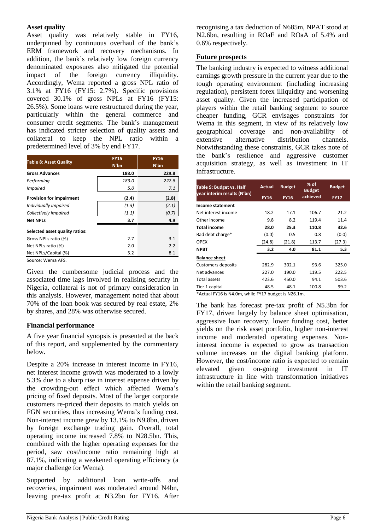## **Asset quality**

Asset quality was relatively stable in FY16, underpinned by continuous overhaul of the bank's ERM framework and recovery mechanisms. In addition, the bank's relatively low foreign currency denominated exposures also mitigated the potential<br>impact of the foreign currency illiquidity. foreign currency Accordingly, Wema reported a gross NPL ratio of 3.1% at FY16 (FY15: 2.7%). Specific provisions covered 30.1% of gross NPLs at FY16 (FY15: 26.5%). Some loans were restructured during the year, particularly within the general commerce and consumer credit segments. The bank's management has indicated stricter selection of quality assets and collateral to keep the NPL ratio within a predetermined level of 3% by end FY17.

|                                 | <b>FY15</b> | <b>FY16</b><br>N'bn |  |
|---------------------------------|-------------|---------------------|--|
| <b>Table 8: Asset Quality</b>   | N'bn        |                     |  |
| <b>Gross Advances</b>           | 188.0       | 229.8               |  |
| Performing                      | 183.0       | 222.8               |  |
| <b>Impaired</b>                 | 5.0         | 7.1                 |  |
| <b>Provision for impairment</b> | (2.4)       | (2.8)               |  |
| Individually impaired           | (1.3)       | (2.1)               |  |
| Collectively impaired           | (1.1)       | (0.7)               |  |
| <b>Net NPLs</b>                 | 3.7         | 4.9                 |  |
| Selected asset quality ratios:  |             |                     |  |
| Gross NPLs ratio (%)            | 2.7         | 3.1                 |  |
| Net NPLs ratio (%)              | 2.0         | 2.2                 |  |
| Net NPLs/Capital (%)            | 5.2         | 8.1                 |  |
| Source: Wema AFS.               |             |                     |  |

Given the cumbersome judicial process and the associated time lags involved in realising security in Nigeria, collateral is not of primary consideration in this analysis. However, management noted that about 70% of the loan book was secured by real estate, 2% by shares, and 28% was otherwise secured.

## **Financial performance**

A five year financial synopsis is presented at the back of this report, and supplemented by the commentary below.

Despite a 20% increase in interest income in FY16, net interest income growth was moderated to a lowly 5.3% due to a sharp rise in interest expense driven by the crowding-out effect which affected Wema's pricing of fixed deposits. Most of the larger corporate customers re-priced their deposits to match yields on FGN securities, thus increasing Wema's funding cost. Non-interest income grew by 13.1% to N9.8bn, driven by foreign exchange trading gain. Overall, total operating income increased 7.8% to N28.5bn. This, combined with the higher operating expenses for the period, saw cost/income ratio remaining high at 87.1%, indicating a weakened operating efficiency (a major challenge for Wema).

Supported by additional loan write-offs and recoveries, impairment was moderated around N4bn, leaving pre-tax profit at N3.2bn for FY16. After recognising a tax deduction of N685m, NPAT stood at N2.6bn, resulting in ROaE and ROaA of 5.4% and 0.6% respectively.

#### **Future prospects**

The banking industry is expected to witness additional earnings growth pressure in the current year due to the tough operating environment (including increasing regulation), persistent forex illiquidity and worsening asset quality. Given the increased participation of players within the retail banking segment to source cheaper funding, GCR envisages constraints for Wema in this segment, in view of its relatively low geographical coverage and non-availability of extensive alternative distribution channels. Notwithstanding these constraints, GCR takes note of the bank's resilience and aggressive customer acquisition strategy, as well as investment in IT infrastructure.

| <b>Table 9: Budget vs. Half</b> | <b>Actual</b> | <b>Budget</b> | $%$ of<br><b>Budget</b> | <b>Budget</b> |
|---------------------------------|---------------|---------------|-------------------------|---------------|
| vear interim results (N'bn)     | <b>FY16</b>   | <b>FY16</b>   | achieved                | <b>FY17</b>   |
| Income statement                |               |               |                         |               |
| Net interest income             | 18.2          | 17.1          | 106.7                   | 21.2          |
| Other income                    | 9.8           | 8.2           | 119.4                   | 11.4          |
| <b>Total income</b>             | 28.0          | 25.3          | 110.8                   | 32.6          |
| Bad debt charge*                | (0.0)         | 0.5           | 0.8                     | (0.0)         |
| <b>OPEX</b>                     | (24.8)        | (21.8)        | 113.7                   | (27.3)        |
| <b>NPBT</b>                     | 3.2           | 4.0           | 81.1                    | 5.3           |
| <b>Balance sheet</b>            |               |               |                         |               |
| <b>Customers deposits</b>       | 282.9         | 302.1         | 93.6                    | 325.0         |
| Net advances                    | 227.0         | 190.0         | 119.5                   | 222.5         |
| Total assets                    | 423.6         | 450.0         | 94.1                    | 503.6         |
| Tier 1 capital                  | 48.5          | 48.1          | 100.8                   | 99.2          |

\*Actual FY16 is N4.0m, while FY17 budget is N26.1m.

The bank has forecast pre-tax profit of N5.3bn for FY17, driven largely by balance sheet optimisation, aggressive loan recovery, lower funding cost, better yields on the risk asset portfolio, higher non-interest income and moderated operating expenses. Noninterest income is expected to grow as transaction volume increases on the digital banking platform. However, the cost/income ratio is expected to remain<br>elevated given on-going investment in IT elevated given on-going investment in IT infrastructure in line with transformation initiatives within the retail banking segment.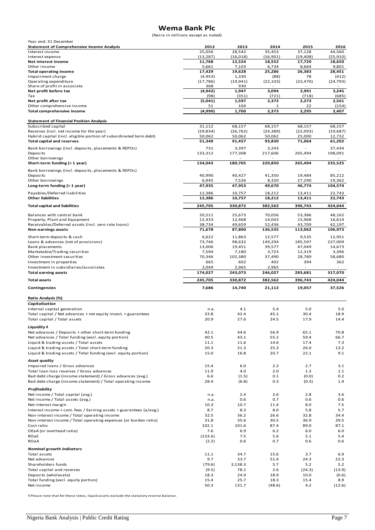## **Wema Bank Plc**

(Naira in millions except as noted)

| $(1)$ alla III IIIIIIIIOIIS except as floted)                      |                 |                 |                 |                 |                 |
|--------------------------------------------------------------------|-----------------|-----------------|-----------------|-----------------|-----------------|
| Year end: 31 December                                              |                 |                 |                 |                 |                 |
| <b>Statement of Comprehensive Income Analysis</b>                  | 2012            | 2013            | 2014            | 2015            | 2016            |
| Interest income                                                    | 25,056          | 28,542          | 35,453          | 37,128          | 44,560          |
| Interest expense                                                   | (13, 287)       | (16, 018)       | (16,901)        | (19, 408)       | (25.910)        |
| Net interest income<br>Other income                                | 11,768<br>5,661 | 12,524<br>7,103 | 18,552<br>6,734 | 17,720<br>8,664 | 18,650<br>9,801 |
| <b>Total operating income</b>                                      | 17,429          | 19,628          | 25,286          | 26,383          | 28,451          |
| Impairment charge                                                  | (4,953)         | 1,330           | (88)            | 78              | (412)           |
| Operating expenditure                                              | (17, 786)       | (19, 941)       | (22, 103)       | (23, 470)       | (24, 793)       |
| Share of profit in associate                                       | 368             | 930             |                 |                 |                 |
| Net profit before tax                                              | (4, 942)        | 1,947           | 3,094           | 2,991           | 3,245           |
| Tax                                                                | (98)            | (351)           | (721)           | (718)           | (685)           |
| Net profit after tax                                               | (5,041)         | 1,597           | 2,372           | 2,273           | 2,561           |
| Other comprehensive income                                         | 51              | 104             | 1               | 22              | (154)           |
| Total comprehensive income                                         | (4,990)         | 1,700           | 2,373           | 2,295           | 2,407           |
|                                                                    |                 |                 |                 |                 |                 |
| <b>Statement of Financial Position Analysis</b>                    |                 |                 |                 |                 |                 |
| Subscribed capital                                                 | 31,112          | 68,157          | 68,157          | 68,157          | 68,157          |
| Reserves (incl. net income for the year)                           | (29, 834)       | (26, 762)       | (24, 389)       | (22,093)        | (19,687)        |
| Hybrid capital (incl. eligible portion of subordinated term debt)  | 50,062          | 50,062          | 50,062          | 25,000          | 12,732          |
| <b>Total capital and reserves</b>                                  | 51,340          | 91,457          | 93,830          | 71,064          | 61,202          |
|                                                                    |                 |                 |                 |                 |                 |
| Bank borrowings (incl. deposits, placements & REPOs)               | 731             | 3,397           | 3,243           |                 | 37,434          |
| Deposits                                                           | 133,312         | 177,308         | 217,606         | 265,494         | 198,091         |
| Other borrowings                                                   |                 |                 |                 |                 |                 |
| Short-term funding (< 1 year)                                      | 134,043         | 180,705         | 220,850         | 265,494         | 235,525         |
| Bank borrowings (incl. deposits, placements & REPOs)               |                 |                 |                 |                 |                 |
| Deposits                                                           | 40,990          | 40,427          | 41,350          | 19,484          | 85,212          |
| Other borrowings                                                   | 6,945           | 7,526           | 8,320           | 27,290          | 19,362          |
| Long-term funding (> 1 year)                                       | 47,935          | 47,953          | 49,670          | 46,774          | 104,574         |
|                                                                    |                 |                 |                 |                 |                 |
| Payables/Deferred liabilities                                      | 12,386          | 10,757          | 18,212          | 13,411          | 22,743          |
| <b>Other liabilities</b>                                           | 12,386          | 10,757          | 18,212          | 13,411          | 22,743          |
| <b>Total capital and liabilities</b>                               | 245,705         | 330,872         | 382,562         | 396,743         | 424,044         |
|                                                                    |                 |                 |                 |                 |                 |
| Balances with central bank                                         | 20,511          | 25,673          | 70,056          | 53,386          | 48,162          |
| Property, Plant and Equipment                                      | 12,433          | 12,468          | 14,043          | 15,968          | 16,614          |
| Receivables/Deferred assets (incl. zero rate loans)                | 38,734          | 49,659          | 52,436          | 43,709          | 42,197          |
| <b>Non-earnings assets</b>                                         | 71,678          | 87,800          | 136,535         | 113,062         | 106,973         |
|                                                                    |                 |                 |                 |                 |                 |
| Short-term deposits & cash                                         | 6,622           | 11,863          | 12,577          | 9,535           | 12,951          |
| Loans & advances (net of provisions)                               | 73,746          | 98,632          | 149,294         | 185,597         | 227,009         |
| Bank placements                                                    | 13,006          | 19,451          | 39,577          | 47,049          | 14,673          |
| Marketable/Trading securities                                      | 7,594           | 7,180           | 3,723           | 12,319          | 3,396           |
| Other investment securities                                        | 70,346          | 102,380         | 37,490          | 28,789          | 58,680          |
| Investment in properties                                           | 665             | 602             | 402             | 394             | 362             |
|                                                                    |                 |                 |                 |                 |                 |
| Investment in subsidiaries/associates                              | 2,049           | 2,965           | 2,965           |                 |                 |
| <b>Total earning assets</b>                                        | 174,027         | 243,073         | 246,027         | 283,681         | 317,070         |
|                                                                    |                 |                 |                 |                 |                 |
| <b>Total assets</b>                                                | 245,705         | 330,872         | 382,562         | 396,743         | 424,044         |
| Contingencies                                                      | 7,686           | 14,740          | 21,112          | 19,057          | 37,526          |
|                                                                    |                 |                 |                 |                 |                 |
| <b>Ratio Analysis (%)</b>                                          |                 |                 |                 |                 |                 |
| Capitalisation                                                     |                 |                 |                 |                 |                 |
| Internal capital generation                                        | n.a.            | 4.1             | 5.4             | 5.0             | 5.0             |
| Total capital / Net advances + net equity invest. + guarantees     | 33.8            | 42.4            | 45.1            | 30.4            | 18.9            |
| Total capital / Total assets                                       | 20.9            | 27.6            | 24.5            | 17.9            | 14.4            |
|                                                                    |                 |                 |                 |                 |                 |
| Liquidity ‡                                                        |                 |                 |                 |                 |                 |
| Net advances / Deposits + other short-term funding                 | 42.1            | 44.6            | 56.9            | 65.1            | 70.8            |
| Net advances / Total funding (excl. equity portion)                | 40.5            | 43.1            | 55.2            | 59.4            | 66.7            |
| Liquid & trading assets / Total assets                             | 11.1            | 11.6            | 14.6            | 17.4            | 7.3             |
| Liquid & trading assets / Total short-term funding                 | 20.3            | 21.3            | 25.3            | 26.0            | 13.2            |
| Liquid & trading assets / Total funding (excl. equity portion)     | 15.0            | 16.8            | 20.7            | 22.1            | 9.1             |
| <b>Asset quality</b>                                               |                 |                 |                 |                 |                 |
|                                                                    |                 |                 |                 |                 |                 |
| Impaired loans / Gross advances                                    | 15.4            | 6.0             | 2.2             | 2.7             | 3.1             |
| Total loan loss reserves / Gross advances                          | 11.9            | 4.0             | 2.0             | 1.3             | 1.1             |
| Bad debt charge (income statement) / Gross advances (avg.)         | 6.6             | (1.5)           | 0.1             | (0.0)           | 0.2             |
| Bad debt charge (income statement) / Total operating income        | 28.4            | (6.8)           | 0.3             | (0.3)           | 1.4             |
| Profitability                                                      |                 |                 |                 |                 |                 |
| Net income / Total capital (avg.)                                  | n.a.            | 2.4             | 2.6             | 2.8             | 3.6             |
| Net income / Total assets (avg.)                                   | n.a.            | 0.6             | 0.7             | 0.6             | 0.6             |
| Net interest margin                                                | 10.3            | 10.7            | 11.4            | 8.0             | 7.5             |
| Interest income + com. fees / Earning assets + guarantees (a/avg.) | 8.7             | 8.3             | 8.0             | 5.8             | 5.7             |
| Non-interest income / Total operating income                       | 32.5            | 36.2            | 26.6            | 32.8            | 34.4            |
| Non-interest income / Total operating expenses (or burden ratio)   | 31.8            | 35.6            | 30.5            | 36.9            | 39.5            |
| Cost ratio                                                         | 102.1           | 101.6           | 87.4            | 89.0            | 87.1            |
| OEaA (or overhead ratio)                                           | 7.6             | 6.9             | $6.2$           | 6.0             | 6.0             |
| ROaE                                                               |                 | 7.5             | 5.6             | 5.1             | 5.4             |
|                                                                    | (133.6)         |                 |                 |                 |                 |
| ROaA                                                               | (2.2)           | 0.6             | 0.7             | 0.6             | 0.6             |
| <b>Nominal growth indicators</b>                                   |                 |                 |                 |                 |                 |
| Total assets                                                       | 11.1            | 34.7            | 15.6            | 3.7             | 6.9             |
| Net advances                                                       | 9.7             | 33.7            | 51.4            | 24.3            | 22.3            |
| Shareholders funds                                                 | (79.6)          | 3,138.3         | 5.7             | 5.2             | 5.2             |
| Total capital and reserves                                         | (9.5)           | 78.1            | 2.6             | (24.3)          | (13.9)          |
| Deposits (wholesale)                                               | 18.3            | 24.9            | 18.9            | 10.0            | (0.6)           |
| Total funding (excl. equity portion)                               | 15.4            | 25.7            | 18.3            | 15.4            | 8.9             |

‡ Please note that for these ratios, liquid assets exclude the statutory reserve balance.